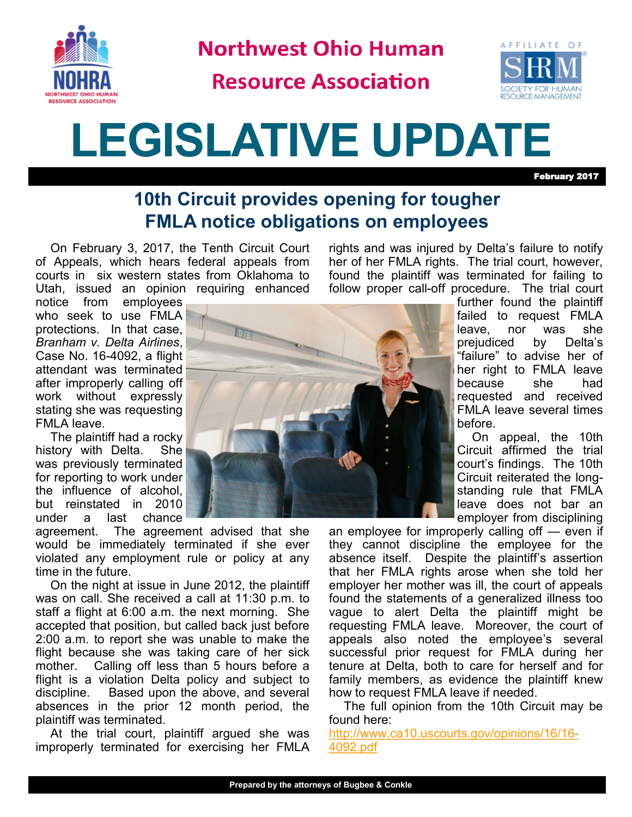

**Northwest Ohio Human** 

**Resource Association** 



## **LEGISLATIVE UPDATE**

February 2017

## **10th Circuit provides opening for tougher FMLA notice obligations on employees**

On February 3, 2017, the Tenth Circuit Court of Appeals, which hears federal appeals from courts in six western states from Oklahoma to Utah, issued an opinion requiring enhanced

notice from employees who seek to use FMLA protections. In that case, *Branham v. Delta Airlines*, Case No. 16-4092, a flight attendant was terminated after improperly calling off work without expressly stating she was requesting FMLA leave.

The plaintiff had a rocky history with Delta. She was previously terminated for reporting to work under the influence of alcohol, but reinstated in 2010 under a last chance

agreement. The agreement advised that she would be immediately terminated if she ever violated any employment rule or policy at any time in the future.

On the night at issue in June 2012, the plaintiff was on call. She received a call at 11:30 p.m. to staff a flight at 6:00 a.m. the next morning. She accepted that position, but called back just before 2:00 a.m. to report she was unable to make the flight because she was taking care of her sick mother. Calling off less than 5 hours before a flight is a violation Delta policy and subject to discipline. Based upon the above, and several absences in the prior 12 month period, the plaintiff was terminated.

At the trial court, plaintiff argued she was improperly terminated for exercising her FMLA



rights and was injured by Delta's failure to notify her of her FMLA rights. The trial court, however, found the plaintiff was terminated for failing to follow proper call-off procedure. The trial court

> further found the plaintiff failed to request FMLA leave, nor was she prejudiced by Delta's "failure" to advise her of her right to FMLA leave because she had requested and received FMLA leave several times before.

> On appeal, the 10th Circuit affirmed the trial court's findings. The 10th Circuit reiterated the longstanding rule that FMLA leave does not bar an employer from disciplining

an employee for improperly calling off — even if they cannot discipline the employee for the absence itself. Despite the plaintiff's assertion that her FMLA rights arose when she told her employer her mother was ill, the court of appeals found the statements of a generalized illness too vague to alert Delta the plaintiff might be requesting FMLA leave. Moreover, the court of appeals also noted the employee's several successful prior request for FMLA during her tenure at Delta, both to care for herself and for family members, as evidence the plaintiff knew how to request FMLA leave if needed.

The full opinion from the 10th Circuit may be found here:

[http://www.ca10.uscourts.gov/opinions/16/16](http://www.ca10.uscourts.gov/opinions/16/16-4092.pdf)- [4092.pdf](http://www.ca10.uscourts.gov/opinions/16/16-4092.pdf)